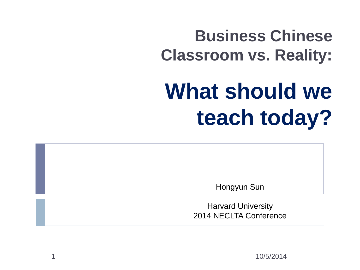### **Business Chinese Classroom vs. Reality:**

# **What should we teach today?**

Hongyun Sun

Harvard University 2014 NECLTA Conference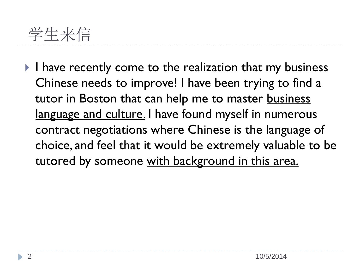

I have recently come to the realization that my business Chinese needs to improve! I have been trying to find a tutor in Boston that can help me to master business language and culture. I have found myself in numerous contract negotiations where Chinese is the language of choice, and feel that it would be extremely valuable to be tutored by someone with background in this area.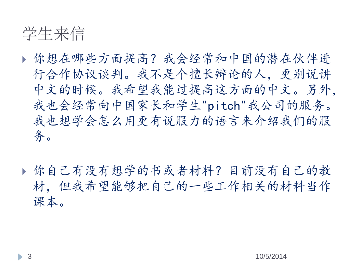

- 你想在哪些方面提高?我会经常和中国的潜在伙伴进 行合作协议谈判。我不是个擅长辩论的人,更别说讲 中文的时候。我希望我能过提高这方面的中文。另外, 我也会经常向中国家长和学生"pitch"我公司的服务。 我也想学会怎么用更有说服力的语言来介绍我们的服 务。
- 你自己有没有想学的书或者材料?目前没有自己的教 材,但我希望能够把自己的一些工作相关的材料当作 课本。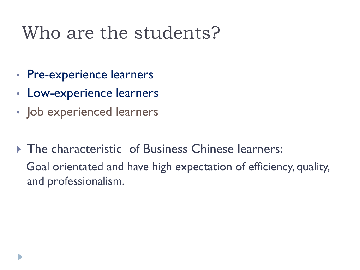### Who are the students?

- Pre-experience learners
- Low-experience learners
- Job experienced learners
- **The characteristic of Business Chinese learners:**  Goal orientated and have high expectation of efficiency, quality, and professionalism.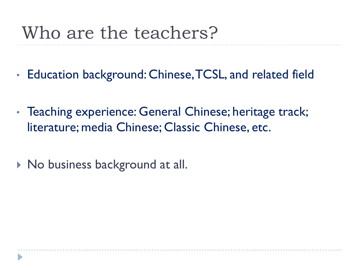### Who are the teachers?

- Education background: Chinese, TCSL, and related field
- Teaching experience: General Chinese; heritage track; literature; media Chinese; Classic Chinese, etc.
- ▶ No business background at all.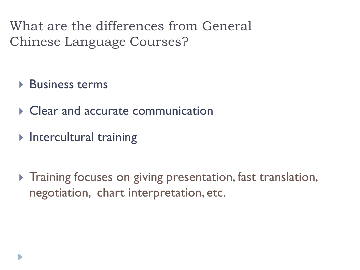What are the differences from General Chinese Language Courses?

- ▶ Business terms
- ▶ Clear and accurate communication
- $\triangleright$  Intercultural training
- **Training focuses on giving presentation, fast translation,** negotiation, chart interpretation, etc.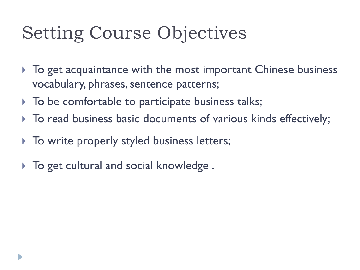## Setting Course Objectives

- $\triangleright$  To get acquaintance with the most important Chinese business vocabulary, phrases, sentence patterns;
- $\triangleright$  To be comfortable to participate business talks;
- $\triangleright$  To read business basic documents of various kinds effectively;
- $\triangleright$  To write properly styled business letters;
- $\triangleright$  To get cultural and social knowledge.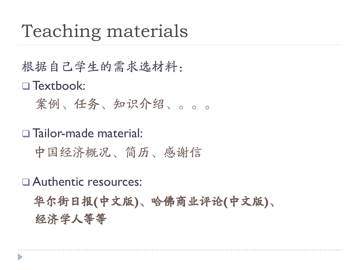### Teaching materials

根据自己学生的需求选材料: □ Textbook: 案例、任务、知识介绍、。。。

Tailor-made material:

中国经济概况、简历、感谢信

Authentic resources:

华尔街日报**(**中文版**)**、哈佛商业评论**(**中文版**)**、 经济学人等等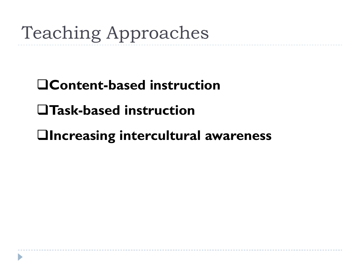## Teaching Approaches

### **Content-based instruction**

#### **Task-based instruction**

#### **Increasing intercultural awareness**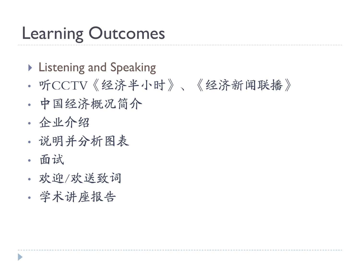### Learning Outcomes

- **Listening and Speaking**
- 听CCTV《经济半小时》、《经济新闻联播》
- 中国经济概况简介
- 企业介绍
- 说明并分析图表
- 面试
- 欢迎/欢送致词
- 学术讲座报告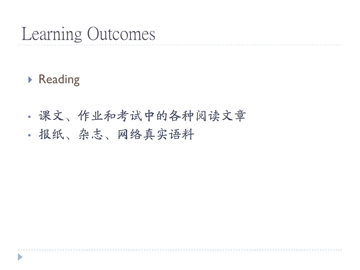### Learning Outcomes

#### ▶ Reading

- 课文、作业和考试中的各种阅读文章
- 报纸、杂志、网络真实语料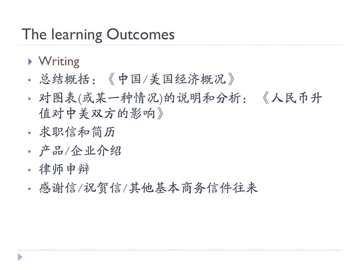### The learning Outcomes

- ▶ Writing
- 总结概括:《中国/美国经济概况》
- 对图表(或某一种情况)的说明和分析: 《人民币升 值对中美双方的影响》
- 求职信和简历
- 产品/企业介绍
- 律师申辩
- 感谢信/祝贺信/其他基本商务信件往来